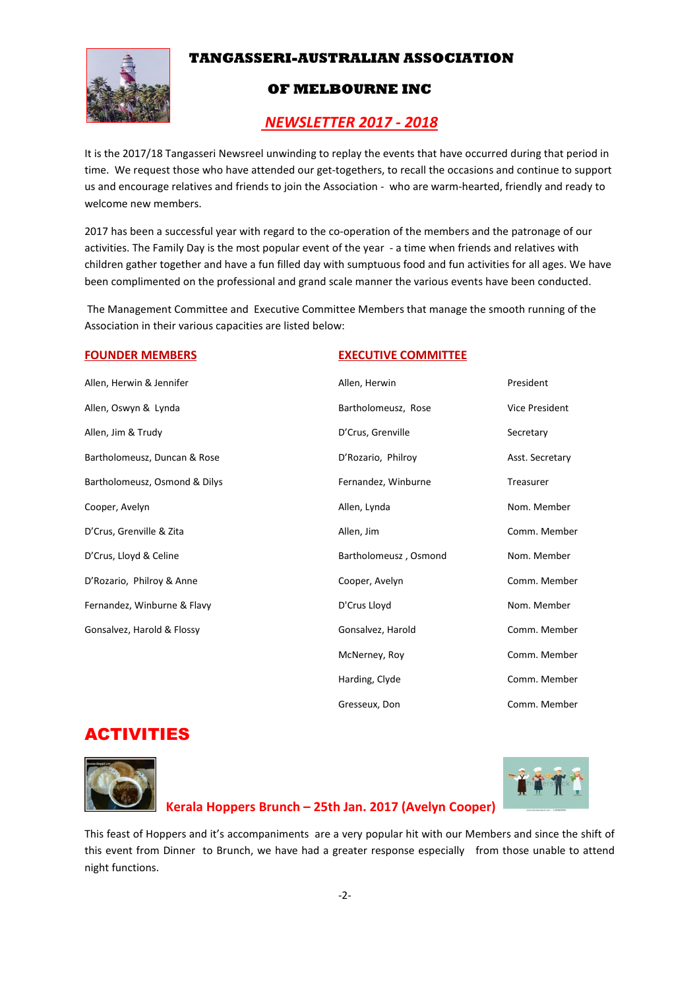# **TANGASSERI-AUSTRALIAN ASSOCIATION**



## **OF MELBOURNE INC**

# *NEWSLETTER 2017 - 2018*

It is the 2017/18 Tangasseri Newsreel unwinding to replay the events that have occurred during that period in time. We request those who have attended our get-togethers, to recall the occasions and continue to support us and encourage relatives and friends to join the Association - who are warm-hearted, friendly and ready to welcome new members.

2017 has been a successful year with regard to the co-operation of the members and the patronage of our activities. The Family Day is the most popular event of the year - a time when friends and relatives with children gather together and have a fun filled day with sumptuous food and fun activities for all ages. We have been complimented on the professional and grand scale manner the various events have been conducted.

 The Management Committee and Executive Committee Members that manage the smooth running of the Association in their various capacities are listed below:

#### **FOUNDER MEMBERS EXECUTIVE COMMITTEE**

Allen, Herwin & Jennifer Allen, Herwin President Allen, Oswyn & Lynda Bartholomeusz, Rose Vice President Allen, Jim & Trudy **D'Crus, Grenville** Secretary Bartholomeusz, Duncan & Rose **Die Exercise Secretary** D'Rozario, Philroy **Asst. Secretary** Bartholomeusz, Osmond & Dilys Fernandez, Winburne Fernandez, Winburne Treasurer Cooper, Avelyn **Allen, Lynda** Allen, Lynda Nom. Member D'Crus, Grenville & Zita Allen, Jim Comm. Member D'Crus, Lloyd & Celine **Bartholomeusz** , Osmond Nom. Member D'Rozario, Philroy & Anne **Commentage Comment Comment Comment Comment Comment Comment Comment Comment Comment Comment Comment Comment Comment Comment Comment Comment Comment Comment Comment Comment Comment Comment Comment** Fernandez, Winburne & Flavy **Nome Community** D'Crus Lloyd Nome Nom. Member Gonsalvez, Harold & Flossy **Gonsalvez, Harold Comm. Member** Gonsalvez, Harold Comm. Member McNerney, Roy Comm. Member

# ACTIVITIES





Harding, Clyde Comm. Member

Gresseux, Don Comm. Member

# **Kerala Hoppers Brunch – 25th Jan. 2017 (Avelyn Cooper)**

This feast of Hoppers and it's accompaniments are a very popular hit with our Members and since the shift of this event from Dinner to Brunch, we have had a greater response especially from those unable to attend night functions.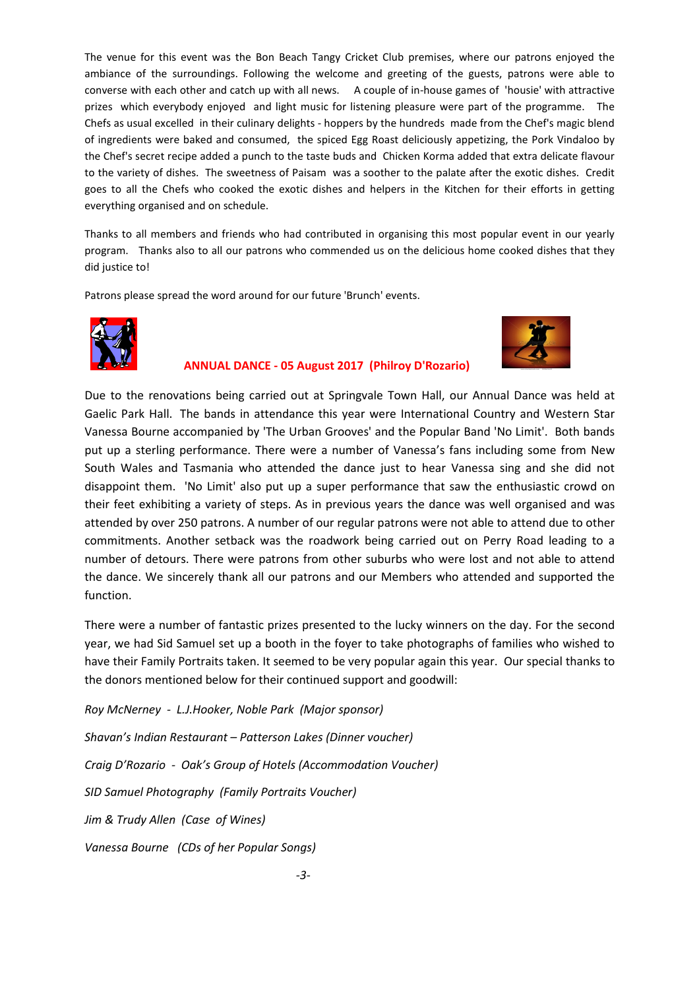The venue for this event was the Bon Beach Tangy Cricket Club premises, where our patrons enjoyed the ambiance of the surroundings. Following the welcome and greeting of the guests, patrons were able to converse with each other and catch up with all news. A couple of in-house games of 'housie' with attractive prizes which everybody enjoyed and light music for listening pleasure were part of the programme. The Chefs as usual excelled in their culinary delights - hoppers by the hundreds made from the Chef's magic blend of ingredients were baked and consumed, the spiced Egg Roast deliciously appetizing, the Pork Vindaloo by the Chef's secret recipe added a punch to the taste buds and Chicken Korma added that extra delicate flavour to the variety of dishes. The sweetness of Paisam was a soother to the palate after the exotic dishes. Credit goes to all the Chefs who cooked the exotic dishes and helpers in the Kitchen for their efforts in getting everything organised and on schedule.

Thanks to all members and friends who had contributed in organising this most popular event in our yearly program. Thanks also to all our patrons who commended us on the delicious home cooked dishes that they did justice to!

Patrons please spread the word around for our future 'Brunch' events.



### **ANNUAL DANCE - 05 August 2017 (Philroy D'Rozario)**



Due to the renovations being carried out at Springvale Town Hall, our Annual Dance was held at Gaelic Park Hall. The bands in attendance this year were International Country and Western Star Vanessa Bourne accompanied by 'The Urban Grooves' and the Popular Band 'No Limit'. Both bands put up a sterling performance. There were a number of Vanessa's fans including some from New South Wales and Tasmania who attended the dance just to hear Vanessa sing and she did not disappoint them. 'No Limit' also put up a super performance that saw the enthusiastic crowd on their feet exhibiting a variety of steps. As in previous years the dance was well organised and was attended by over 250 patrons. A number of our regular patrons were not able to attend due to other commitments. Another setback was the roadwork being carried out on Perry Road leading to a number of detours. There were patrons from other suburbs who were lost and not able to attend the dance. We sincerely thank all our patrons and our Members who attended and supported the function.

There were a number of fantastic prizes presented to the lucky winners on the day. For the second year, we had Sid Samuel set up a booth in the foyer to take photographs of families who wished to have their Family Portraits taken. It seemed to be very popular again this year. Our special thanks to the donors mentioned below for their continued support and goodwill:

*Roy McNerney - L.J.Hooker, Noble Park (Major sponsor) Shavan's Indian Restaurant – Patterson Lakes (Dinner voucher) Craig D'Rozario - Oak's Group of Hotels (Accommodation Voucher) SID Samuel Photography (Family Portraits Voucher) Jim & Trudy Allen (Case of Wines) Vanessa Bourne (CDs of her Popular Songs)*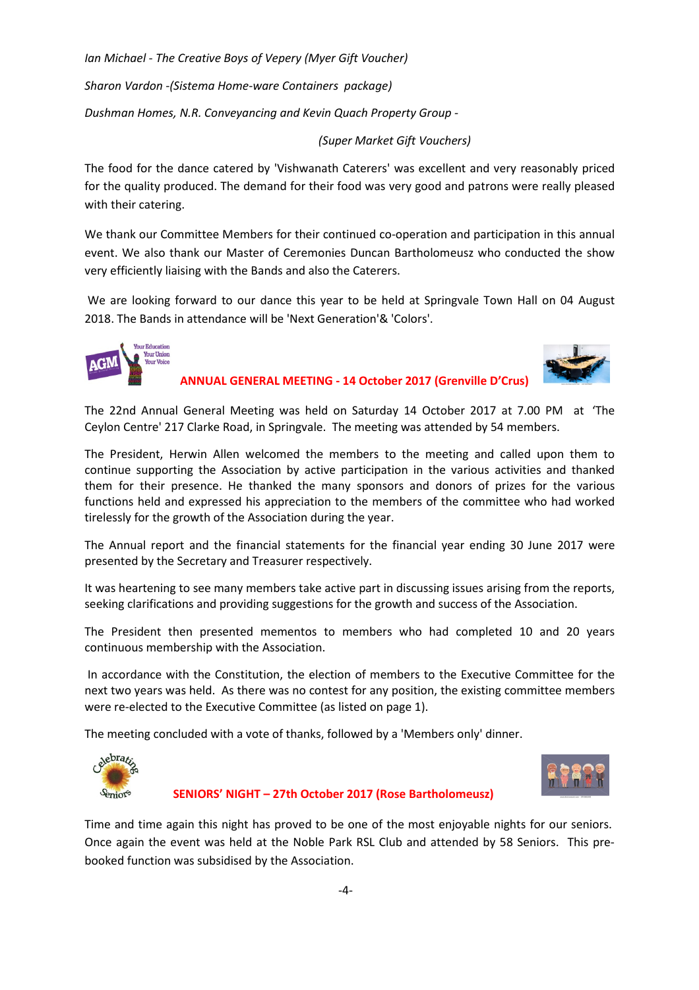*Ian Michael - The Creative Boys of Vepery (Myer Gift Voucher)* 

*Sharon Vardon -(Sistema Home-ware Containers package)* 

*Dushman Homes, N.R. Conveyancing and Kevin Quach Property Group -* 

 *(Super Market Gift Vouchers)* 

The food for the dance catered by 'Vishwanath Caterers' was excellent and very reasonably priced for the quality produced. The demand for their food was very good and patrons were really pleased with their catering.

We thank our Committee Members for their continued co-operation and participation in this annual event. We also thank our Master of Ceremonies Duncan Bartholomeusz who conducted the show very efficiently liaising with the Bands and also the Caterers.

 We are looking forward to our dance this year to be held at Springvale Town Hall on 04 August 2018. The Bands in attendance will be 'Next Generation'& 'Colors'.





 **ANNUAL GENERAL MEETING - 14 October 2017 (Grenville D'Crus)** 

The 22nd Annual General Meeting was held on Saturday 14 October 2017 at 7.00 PM at 'The Ceylon Centre' 217 Clarke Road, in Springvale. The meeting was attended by 54 members.

The President, Herwin Allen welcomed the members to the meeting and called upon them to continue supporting the Association by active participation in the various activities and thanked them for their presence. He thanked the many sponsors and donors of prizes for the various functions held and expressed his appreciation to the members of the committee who had worked tirelessly for the growth of the Association during the year.

The Annual report and the financial statements for the financial year ending 30 June 2017 were presented by the Secretary and Treasurer respectively.

It was heartening to see many members take active part in discussing issues arising from the reports, seeking clarifications and providing suggestions for the growth and success of the Association.

The President then presented mementos to members who had completed 10 and 20 years continuous membership with the Association.

 In accordance with the Constitution, the election of members to the Executive Committee for the next two years was held. As there was no contest for any position, the existing committee members were re-elected to the Executive Committee (as listed on page 1).

The meeting concluded with a vote of thanks, followed by a 'Members only' dinner.





 **SENIORS' NIGHT – 27th October 2017 (Rose Bartholomeusz)** 

Time and time again this night has proved to be one of the most enjoyable nights for our seniors. Once again the event was held at the Noble Park RSL Club and attended by 58 Seniors. This prebooked function was subsidised by the Association.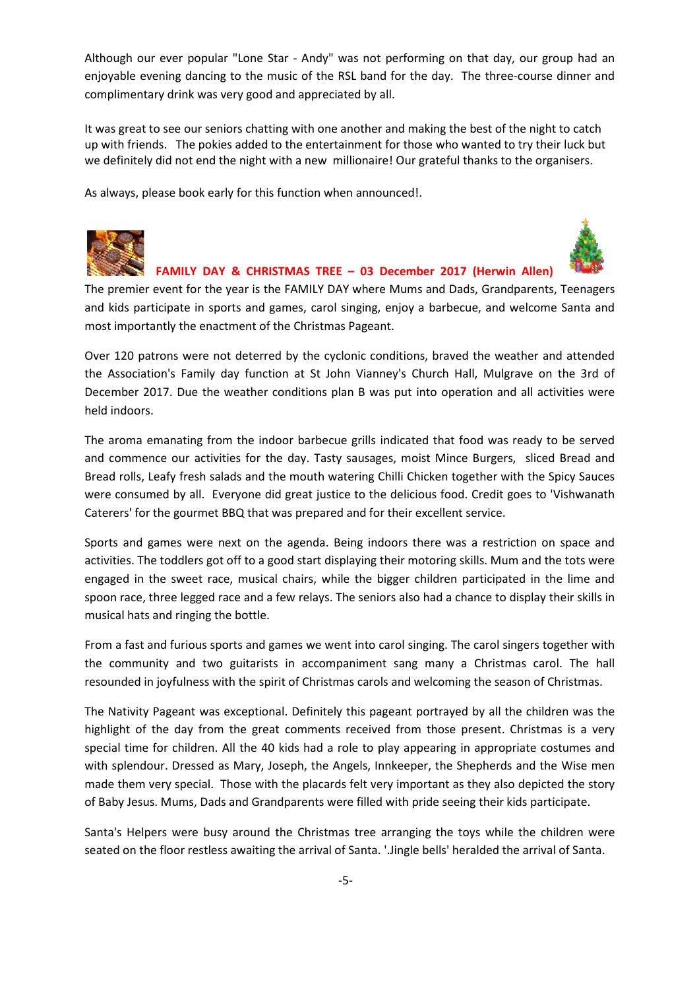Although our ever popular "Lone Star - Andy" was not performing on that day, our group had an enjoyable evening dancing to the music of the RSL band for the day. The three-course dinner and complimentary drink was very good and appreciated by all.

It was great to see our seniors chatting with one another and making the best of the night to catch up with friends. The pokies added to the entertainment for those who wanted to try their luck but we definitely did not end the night with a new millionaire! Our grateful thanks to the organisers.

As always, please book early for this function when announced!.



#### **FAMILY DAY & CHRISTMAS TREE – 03 December 2017 (Herwin Allen)**

The premier event for the year is the FAMILY DAY where Mums and Dads, Grandparents, Teenagers and kids participate in sports and games, carol singing, enjoy a barbecue, and welcome Santa and most importantly the enactment of the Christmas Pageant.

Over 120 patrons were not deterred by the cyclonic conditions, braved the weather and attended the Association's Family day function at St John Vianney's Church Hall, Mulgrave on the 3rd of December 2017. Due the weather conditions plan B was put into operation and all activities were held indoors.

The aroma emanating from the indoor barbecue grills indicated that food was ready to be served and commence our activities for the day. Tasty sausages, moist Mince Burgers, sliced Bread and Bread rolls, Leafy fresh salads and the mouth watering Chilli Chicken together with the Spicy Sauces were consumed by all. Everyone did great justice to the delicious food. Credit goes to 'Vishwanath Caterers' for the gourmet BBQ that was prepared and for their excellent service.

Sports and games were next on the agenda. Being indoors there was a restriction on space and activities. The toddlers got off to a good start displaying their motoring skills. Mum and the tots were engaged in the sweet race, musical chairs, while the bigger children participated in the lime and spoon race, three legged race and a few relays. The seniors also had a chance to display their skills in musical hats and ringing the bottle.

From a fast and furious sports and games we went into carol singing. The carol singers together with the community and two guitarists in accompaniment sang many a Christmas carol. The hall resounded in joyfulness with the spirit of Christmas carols and welcoming the season of Christmas.

The Nativity Pageant was exceptional. Definitely this pageant portrayed by all the children was the highlight of the day from the great comments received from those present. Christmas is a very special time for children. All the 40 kids had a role to play appearing in appropriate costumes and with splendour. Dressed as Mary, Joseph, the Angels, Innkeeper, the Shepherds and the Wise men made them very special. Those with the placards felt very important as they also depicted the story of Baby Jesus. Mums, Dads and Grandparents were filled with pride seeing their kids participate.

Santa's Helpers were busy around the Christmas tree arranging the toys while the children were seated on the floor restless awaiting the arrival of Santa. '.Jingle bells' heralded the arrival of Santa.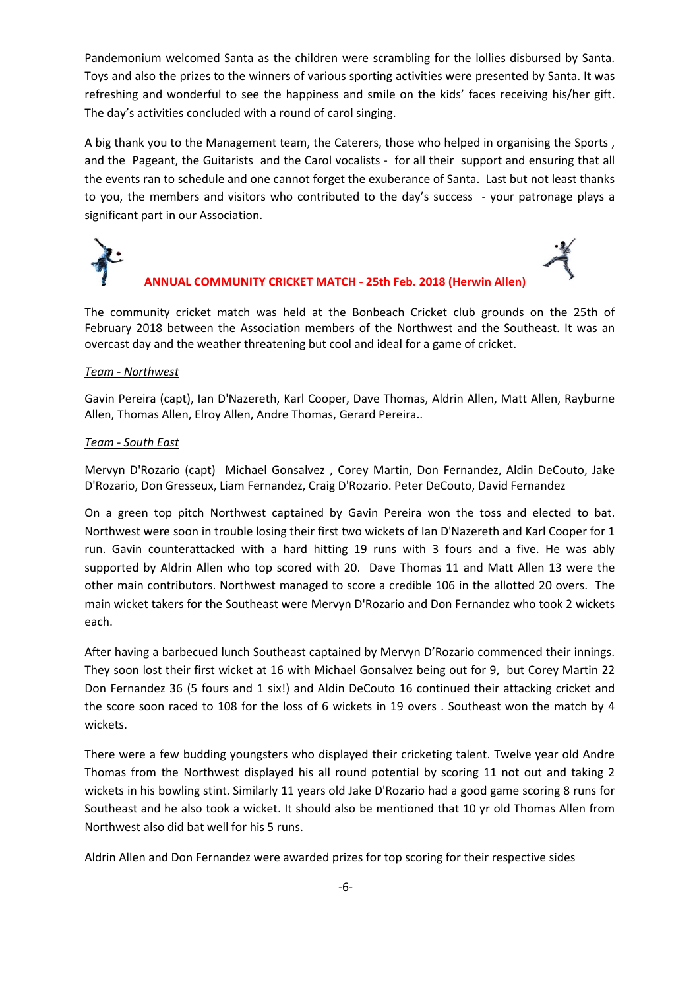Pandemonium welcomed Santa as the children were scrambling for the lollies disbursed by Santa. Toys and also the prizes to the winners of various sporting activities were presented by Santa. It was refreshing and wonderful to see the happiness and smile on the kids' faces receiving his/her gift. The day's activities concluded with a round of carol singing.

A big thank you to the Management team, the Caterers, those who helped in organising the Sports , and the Pageant, the Guitarists and the Carol vocalists - for all their support and ensuring that all the events ran to schedule and one cannot forget the exuberance of Santa. Last but not least thanks to you, the members and visitors who contributed to the day's success - your patronage plays a significant part in our Association.



### **ANNUAL COMMUNITY CRICKET MATCH - 25th Feb. 2018 (Herwin Allen)**

The community cricket match was held at the Bonbeach Cricket club grounds on the 25th of February 2018 between the Association members of the Northwest and the Southeast. It was an overcast day and the weather threatening but cool and ideal for a game of cricket.

#### *Team - Northwest*

Gavin Pereira (capt), Ian D'Nazereth, Karl Cooper, Dave Thomas, Aldrin Allen, Matt Allen, Rayburne Allen, Thomas Allen, Elroy Allen, Andre Thomas, Gerard Pereira..

#### *Team - South East*

Mervyn D'Rozario (capt) Michael Gonsalvez , Corey Martin, Don Fernandez, Aldin DeCouto, Jake D'Rozario, Don Gresseux, Liam Fernandez, Craig D'Rozario. Peter DeCouto, David Fernandez

On a green top pitch Northwest captained by Gavin Pereira won the toss and elected to bat. Northwest were soon in trouble losing their first two wickets of Ian D'Nazereth and Karl Cooper for 1 run. Gavin counterattacked with a hard hitting 19 runs with 3 fours and a five. He was ably supported by Aldrin Allen who top scored with 20. Dave Thomas 11 and Matt Allen 13 were the other main contributors. Northwest managed to score a credible 106 in the allotted 20 overs. The main wicket takers for the Southeast were Mervyn D'Rozario and Don Fernandez who took 2 wickets each.

After having a barbecued lunch Southeast captained by Mervyn D'Rozario commenced their innings. They soon lost their first wicket at 16 with Michael Gonsalvez being out for 9, but Corey Martin 22 Don Fernandez 36 (5 fours and 1 six!) and Aldin DeCouto 16 continued their attacking cricket and the score soon raced to 108 for the loss of 6 wickets in 19 overs . Southeast won the match by 4 wickets.

There were a few budding youngsters who displayed their cricketing talent. Twelve year old Andre Thomas from the Northwest displayed his all round potential by scoring 11 not out and taking 2 wickets in his bowling stint. Similarly 11 years old Jake D'Rozario had a good game scoring 8 runs for Southeast and he also took a wicket. It should also be mentioned that 10 yr old Thomas Allen from Northwest also did bat well for his 5 runs.

Aldrin Allen and Don Fernandez were awarded prizes for top scoring for their respective sides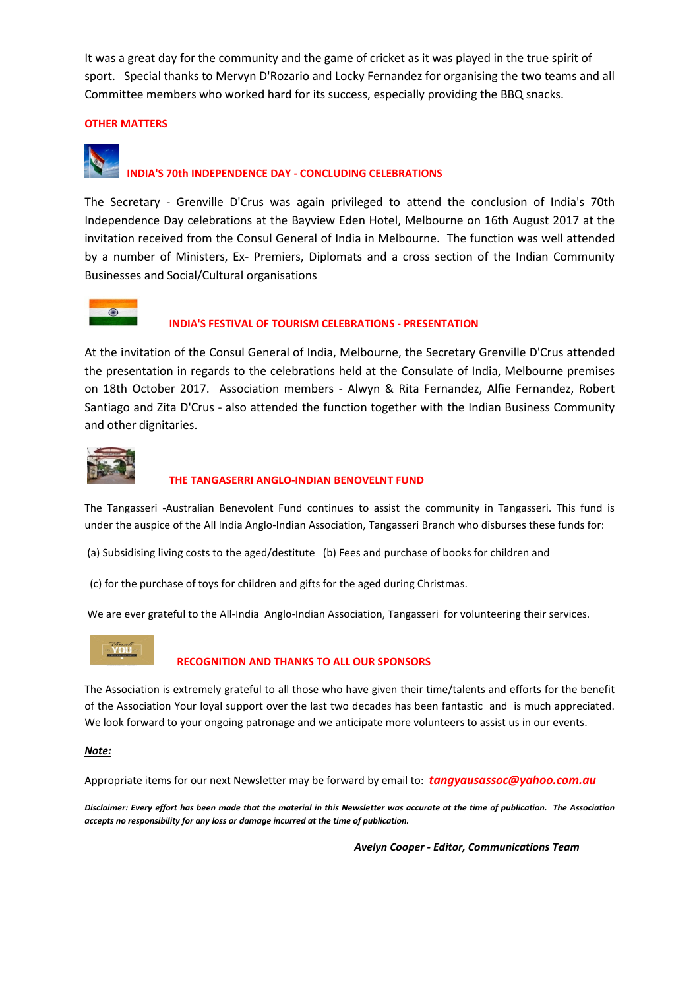It was a great day for the community and the game of cricket as it was played in the true spirit of sport. Special thanks to Mervyn D'Rozario and Locky Fernandez for organising the two teams and all Committee members who worked hard for its success, especially providing the BBQ snacks.

#### **OTHER MATTERS**

# **INDIA'S 70th INDEPENDENCE DAY - CONCLUDING CELEBRATIONS**

The Secretary - Grenville D'Crus was again privileged to attend the conclusion of India's 70th Independence Day celebrations at the Bayview Eden Hotel, Melbourne on 16th August 2017 at the invitation received from the Consul General of India in Melbourne. The function was well attended by a number of Ministers, Ex- Premiers, Diplomats and a cross section of the Indian Community Businesses and Social/Cultural organisations



#### **INDIA'S FESTIVAL OF TOURISM CELEBRATIONS - PRESENTATION**

At the invitation of the Consul General of India, Melbourne, the Secretary Grenville D'Crus attended the presentation in regards to the celebrations held at the Consulate of India, Melbourne premises on 18th October 2017. Association members - Alwyn & Rita Fernandez, Alfie Fernandez, Robert Santiago and Zita D'Crus - also attended the function together with the Indian Business Community and other dignitaries.



#### **THE TANGASERRI ANGLO-INDIAN BENOVELNT FUND**

The Tangasseri -Australian Benevolent Fund continues to assist the community in Tangasseri. This fund is under the auspice of the All India Anglo-Indian Association, Tangasseri Branch who disburses these funds for:

(a) Subsidising living costs to the aged/destitute (b) Fees and purchase of books for children and

(c) for the purchase of toys for children and gifts for the aged during Christmas.

We are ever grateful to the All-India Anglo-Indian Association, Tangasseri for volunteering their services.



#### **RECOGNITION AND THANKS TO ALL OUR SPONSORS**

The Association is extremely grateful to all those who have given their time/talents and efforts for the benefit of the Association Your loyal support over the last two decades has been fantastic and is much appreciated. We look forward to your ongoing patronage and we anticipate more volunteers to assist us in our events.

#### *Note:*

Appropriate items for our next Newsletter may be forward by email to: *tangyausassoc@yahoo.com.au* 

*Disclaimer: Every effort has been made that the material in this Newsletter was accurate at the time of publication. The Association accepts no responsibility for any loss or damage incurred at the time of publication.* 

 *Avelyn Cooper - Editor, Communications Team*